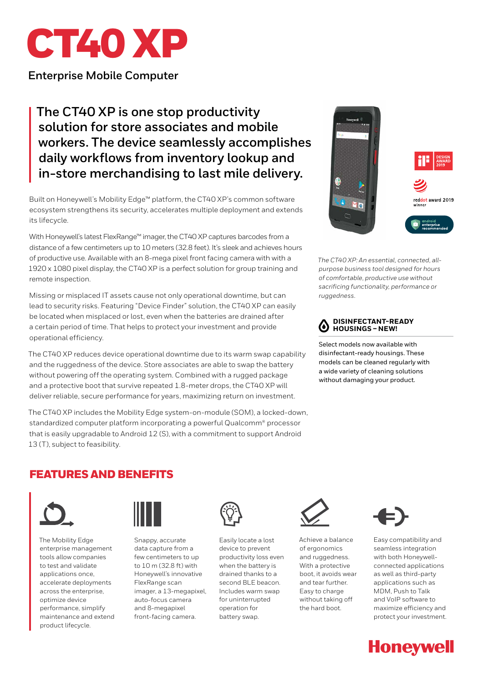

**Enterprise Mobile Computer**

# **The CT40 XP is one stop productivity solution for store associates and mobile workers. The device seamlessly accomplishes daily workflows from inventory lookup and in-store merchandising to last mile delivery.**

Built on Honeywell's Mobility Edge™ platform, the CT40 XP's common software ecosystem strengthens its security, accelerates multiple deployment and extends its lifecycle.

With Honeywell's latest FlexRange™ imager, the CT40 XP captures barcodes from a distance of a few centimeters up to 10 meters (32.8 feet). It's sleek and achieves hours of productive use. Available with an 8-mega pixel front facing camera with with a 1920 x 1080 pixel display, the CT40 XP is a perfect solution for group training and remote inspection.

Missing or misplaced IT assets cause not only operational downtime, but can lead to security risks. Featuring "Device Finder" solution, the CT40 XP can easily be located when misplaced or lost, even when the batteries are drained after a certain period of time. That helps to protect your investment and provide operational efficiency.

The CT40 XP reduces device operational downtime due to its warm swap capability and the ruggedness of the device. Store associates are able to swap the battery without powering off the operating system. Combined with a rugged package and a protective boot that survive repeated 1.8-meter drops, the CT40 XP will deliver reliable, secure performance for years, maximizing return on investment.

The CT40 XP includes the Mobility Edge system-on-module (SOM), a locked-down, standardized computer platform incorporating a powerful Qualcomm® processor that is easily upgradable to Android 12 (S), with a commitment to support Android 13 (T), subject to feasibility.



*The CT40 XP: An essential, connected, allpurpose business tool designed for hours of comfortable, productive use without sacrificing functionality, performance or ruggedness.*

#### **DISINFECTANT-READY**   $\bf{(\bullet)}$ **HOUSINGS – NEW!**

Select models now available with disinfectant-ready housings. These models can be cleaned regularly with a wide variety of cleaning solutions without damaging your product.

## FEATURES AND BENEFITS



The Mobility Edge enterprise management tools allow companies to test and validate applications once, accelerate deployments across the enterprise, optimize device performance, simplify maintenance and extend product lifecycle.



Snappy, accurate data capture from a few centimeters to up to 10 m (32.8 ft) with Honeywell's innovative FlexRange scan imager, a 13-megapixel, auto-focus camera and 8-megapixel front-facing camera.



Easily locate a lost device to prevent productivity loss even when the battery is drained thanks to a second BLE beacon. Includes warm swap for uninterrupted operation for battery swap.



Achieve a balance of ergonomics and ruggedness. With a protective boot, it avoids wear and tear further. Easy to charge without taking off the hard boot.



Easy compatibility and seamless integration with both Honeywellconnected applications as well as third-party applications such as MDM, Push to Talk and VoIP software to maximize efficiency and protect your investment.